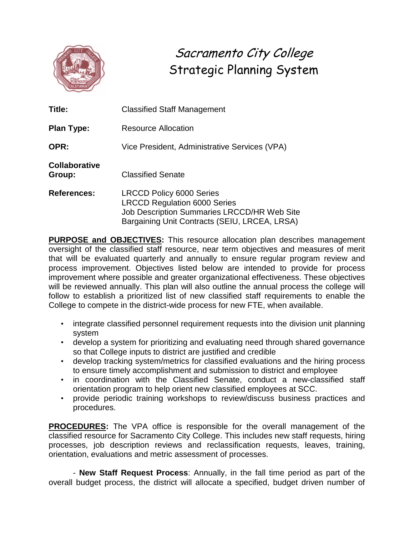

Sacramento City College Strategic Planning System

| Title:                         | <b>Classified Staff Management</b>                                                                                                                                     |  |  |
|--------------------------------|------------------------------------------------------------------------------------------------------------------------------------------------------------------------|--|--|
| <b>Plan Type:</b>              | Resource Allocation                                                                                                                                                    |  |  |
| OPR:                           | Vice President, Administrative Services (VPA)                                                                                                                          |  |  |
| <b>Collaborative</b><br>Group: | <b>Classified Senate</b>                                                                                                                                               |  |  |
| <b>References:</b>             | <b>LRCCD Policy 6000 Series</b><br><b>LRCCD Regulation 6000 Series</b><br>Job Description Summaries LRCCD/HR Web Site<br>Bargaining Unit Contracts (SEIU, LRCEA, LRSA) |  |  |

**PURPOSE and OBJECTIVES:** This resource allocation plan describes management oversight of the classified staff resource, near term objectives and measures of merit that will be evaluated quarterly and annually to ensure regular program review and process improvement. Objectives listed below are intended to provide for process improvement where possible and greater organizational effectiveness. These objectives will be reviewed annually. This plan will also outline the annual process the college will follow to establish a prioritized list of new classified staff requirements to enable the College to compete in the district-wide process for new FTE, when available.

- integrate classified personnel requirement requests into the division unit planning system
- develop a system for prioritizing and evaluating need through shared governance so that College inputs to district are justified and credible
- develop tracking system/metrics for classified evaluations and the hiring process to ensure timely accomplishment and submission to district and employee
- in coordination with the Classified Senate, conduct a new-classified staff orientation program to help orient new classified employees at SCC.
- provide periodic training workshops to review/discuss business practices and procedures.

**PROCEDURES:** The VPA office is responsible for the overall management of the classified resource for Sacramento City College. This includes new staff requests, hiring processes, job description reviews and reclassification requests, leaves, training, orientation, evaluations and metric assessment of processes.

- **New Staff Request Process**: Annually, in the fall time period as part of the overall budget process, the district will allocate a specified, budget driven number of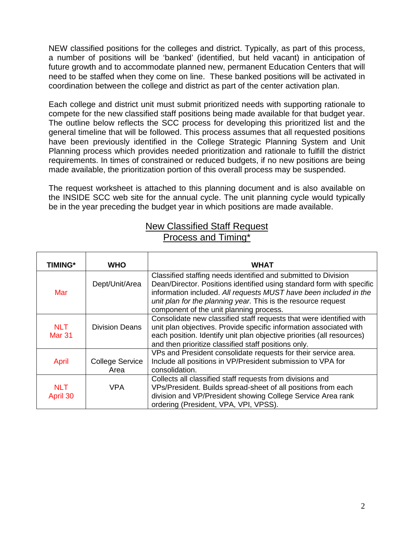NEW classified positions for the colleges and district. Typically, as part of this process, a number of positions will be 'banked' (identified, but held vacant) in anticipation of future growth and to accommodate planned new, permanent Education Centers that will need to be staffed when they come on line. These banked positions will be activated in coordination between the college and district as part of the center activation plan.

Each college and district unit must submit prioritized needs with supporting rationale to compete for the new classified staff positions being made available for that budget year. The outline below reflects the SCC process for developing this prioritized list and the general timeline that will be followed. This process assumes that all requested positions have been previously identified in the College Strategic Planning System and Unit Planning process which provides needed prioritization and rationale to fulfill the district requirements. In times of constrained or reduced budgets, if no new positions are being made available, the prioritization portion of this overall process may be suspended.

The request worksheet is attached to this planning document and is also available on the INSIDE SCC web site for the annual cycle. The unit planning cycle would typically be in the year preceding the budget year in which positions are made available.

## New Classified Staff Request Process and Timing\*

| TIMING*                     | <b>WHO</b>                     | <b>WHAT</b>                                                                                                                                                                                                                                                                                                              |
|-----------------------------|--------------------------------|--------------------------------------------------------------------------------------------------------------------------------------------------------------------------------------------------------------------------------------------------------------------------------------------------------------------------|
| Mar                         | Dept/Unit/Area                 | Classified staffing needs identified and submitted to Division<br>Dean/Director. Positions identified using standard form with specific<br>information included. All requests MUST have been included in the<br>unit plan for the planning year. This is the resource request<br>component of the unit planning process. |
| <b>NLT</b><br><b>Mar 31</b> | <b>Division Deans</b>          | Consolidate new classified staff requests that were identified with<br>unit plan objectives. Provide specific information associated with<br>each position. Identify unit plan objective priorities (all resources)<br>and then prioritize classified staff positions only.                                              |
| April                       | <b>College Service</b><br>Area | VPs and President consolidate requests for their service area.<br>Include all positions in VP/President submission to VPA for<br>consolidation.                                                                                                                                                                          |
| <b>NLT</b><br>April 30      | <b>VPA</b>                     | Collects all classified staff requests from divisions and<br>VPs/President. Builds spread-sheet of all positions from each<br>division and VP/President showing College Service Area rank<br>ordering (President, VPA, VPI, VPSS).                                                                                       |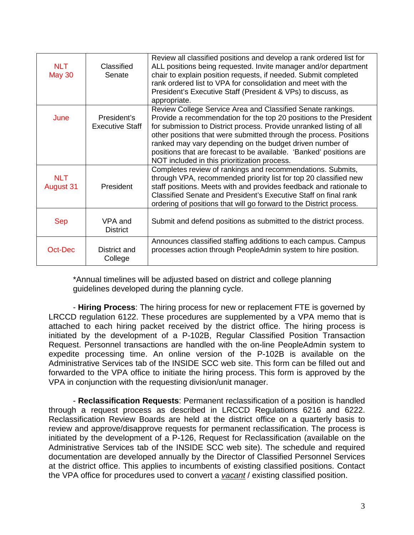| <b>NLT</b><br><b>May 30</b>    | Classified<br>Senate                  | Review all classified positions and develop a rank ordered list for<br>ALL positions being requested. Invite manager and/or department<br>chair to explain position requests, if needed. Submit completed<br>rank ordered list to VPA for consolidation and meet with the<br>President's Executive Staff (President & VPs) to discuss, as<br>appropriate.                                                                                                         |
|--------------------------------|---------------------------------------|-------------------------------------------------------------------------------------------------------------------------------------------------------------------------------------------------------------------------------------------------------------------------------------------------------------------------------------------------------------------------------------------------------------------------------------------------------------------|
| June                           | President's<br><b>Executive Staff</b> | Review College Service Area and Classified Senate rankings.<br>Provide a recommendation for the top 20 positions to the President<br>for submission to District process. Provide unranked listing of all<br>other positions that were submitted through the process. Positions<br>ranked may vary depending on the budget driven number of<br>positions that are forecast to be available. 'Banked' positions are<br>NOT included in this prioritization process. |
| <b>NLT</b><br><b>August 31</b> | President                             | Completes review of rankings and recommendations. Submits,<br>through VPA, recommended priority list for top 20 classified new<br>staff positions. Meets with and provides feedback and rationale to<br>Classified Senate and President's Executive Staff on final rank<br>ordering of positions that will go forward to the District process.                                                                                                                    |
| <b>Sep</b>                     | VPA and<br><b>District</b>            | Submit and defend positions as submitted to the district process.                                                                                                                                                                                                                                                                                                                                                                                                 |
| Oct-Dec                        | District and<br>College               | Announces classified staffing additions to each campus. Campus<br>processes action through PeopleAdmin system to hire position.                                                                                                                                                                                                                                                                                                                                   |

\*Annual timelines will be adjusted based on district and college planning guidelines developed during the planning cycle.

- **Hiring Process**: The hiring process for new or replacement FTE is governed by LRCCD regulation 6122. These procedures are supplemented by a VPA memo that is attached to each hiring packet received by the district office. The hiring process is initiated by the development of a P-102B, Regular Classified Position Transaction Request. Personnel transactions are handled with the on-line PeopleAdmin system to expedite processing time. An online version of the P-102B is available on the Administrative Services tab of the INSIDE SCC web site. This form can be filled out and forwarded to the VPA office to initiate the hiring process. This form is approved by the VPA in conjunction with the requesting division/unit manager.

- **Reclassification Requests**: Permanent reclassification of a position is handled through a request process as described in LRCCD Regulations 6216 and 6222. Reclassification Review Boards are held at the district office on a quarterly basis to review and approve/disapprove requests for permanent reclassification. The process is initiated by the development of a P-126, Request for Reclassification (available on the Administrative Services tab of the INSIDE SCC web site). The schedule and required documentation are developed annually by the Director of Classified Personnel Services at the district office. This applies to incumbents of existing classified positions. Contact the VPA office for procedures used to convert a *vacant* / existing classified position.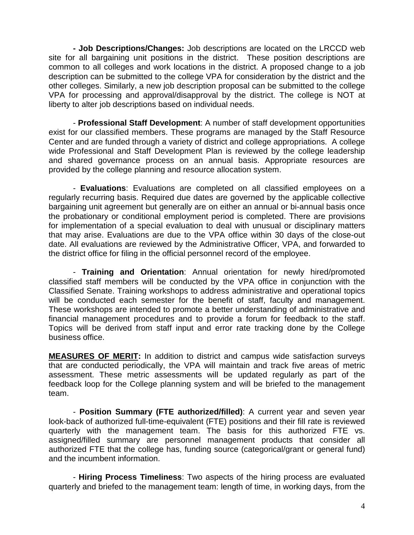**- Job Descriptions/Changes:** Job descriptions are located on the LRCCD web site for all bargaining unit positions in the district. These position descriptions are common to all colleges and work locations in the district. A proposed change to a job description can be submitted to the college VPA for consideration by the district and the other colleges. Similarly, a new job description proposal can be submitted to the college VPA for processing and approval/disapproval by the district. The college is NOT at liberty to alter job descriptions based on individual needs.

- **Professional Staff Development**: A number of staff development opportunities exist for our classified members. These programs are managed by the Staff Resource Center and are funded through a variety of district and college appropriations. A college wide Professional and Staff Development Plan is reviewed by the college leadership and shared governance process on an annual basis. Appropriate resources are provided by the college planning and resource allocation system.

- **Evaluations**: Evaluations are completed on all classified employees on a regularly recurring basis. Required due dates are governed by the applicable collective bargaining unit agreement but generally are on either an annual or bi-annual basis once the probationary or conditional employment period is completed. There are provisions for implementation of a special evaluation to deal with unusual or disciplinary matters that may arise. Evaluations are due to the VPA office within 30 days of the close-out date. All evaluations are reviewed by the Administrative Officer, VPA, and forwarded to the district office for filing in the official personnel record of the employee.

- **Training and Orientation**: Annual orientation for newly hired/promoted classified staff members will be conducted by the VPA office in conjunction with the Classified Senate. Training workshops to address administrative and operational topics will be conducted each semester for the benefit of staff, faculty and management. These workshops are intended to promote a better understanding of administrative and financial management procedures and to provide a forum for feedback to the staff. Topics will be derived from staff input and error rate tracking done by the College business office.

**MEASURES OF MERIT:** In addition to district and campus wide satisfaction surveys that are conducted periodically, the VPA will maintain and track five areas of metric assessment. These metric assessments will be updated regularly as part of the feedback loop for the College planning system and will be briefed to the management team.

- **Position Summary (FTE authorized/filled)**: A current year and seven year look-back of authorized full-time-equivalent (FTE) positions and their fill rate is reviewed quarterly with the management team. The basis for this authorized FTE vs. assigned/filled summary are personnel management products that consider all authorized FTE that the college has, funding source (categorical/grant or general fund) and the incumbent information.

- **Hiring Process Timeliness**: Two aspects of the hiring process are evaluated quarterly and briefed to the management team: length of time, in working days, from the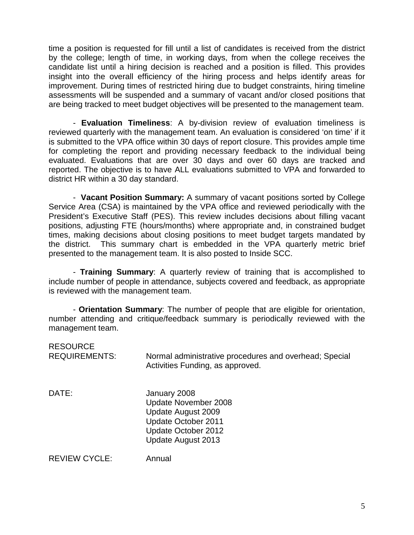time a position is requested for fill until a list of candidates is received from the district by the college; length of time, in working days, from when the college receives the candidate list until a hiring decision is reached and a position is filled. This provides insight into the overall efficiency of the hiring process and helps identify areas for improvement. During times of restricted hiring due to budget constraints, hiring timeline assessments will be suspended and a summary of vacant and/or closed positions that are being tracked to meet budget objectives will be presented to the management team.

- **Evaluation Timeliness**: A by-division review of evaluation timeliness is reviewed quarterly with the management team. An evaluation is considered 'on time' if it is submitted to the VPA office within 30 days of report closure. This provides ample time for completing the report and providing necessary feedback to the individual being evaluated. Evaluations that are over 30 days and over 60 days are tracked and reported. The objective is to have ALL evaluations submitted to VPA and forwarded to district HR within a 30 day standard.

- **Vacant Position Summary:** A summary of vacant positions sorted by College Service Area (CSA) is maintained by the VPA office and reviewed periodically with the President's Executive Staff (PES). This review includes decisions about filling vacant positions, adjusting FTE (hours/months) where appropriate and, in constrained budget times, making decisions about closing positions to meet budget targets mandated by the district. This summary chart is embedded in the VPA quarterly metric brief presented to the management team. It is also posted to Inside SCC.

- **Training Summary**: A quarterly review of training that is accomplished to include number of people in attendance, subjects covered and feedback, as appropriate is reviewed with the management team.

- **Orientation Summary**: The number of people that are eligible for orientation, number attending and critique/feedback summary is periodically reviewed with the management team.

| <b>RESOURCE</b><br><b>REQUIREMENTS:</b> | Normal administrative procedures and overhead; Special<br>Activities Funding, as approved.                                     |
|-----------------------------------------|--------------------------------------------------------------------------------------------------------------------------------|
| DATE:                                   | January 2008<br>Update November 2008<br>Update August 2009<br>Update October 2011<br>Update October 2012<br>Update August 2013 |
| <b>REVIEW CYCLE:</b>                    | Annual                                                                                                                         |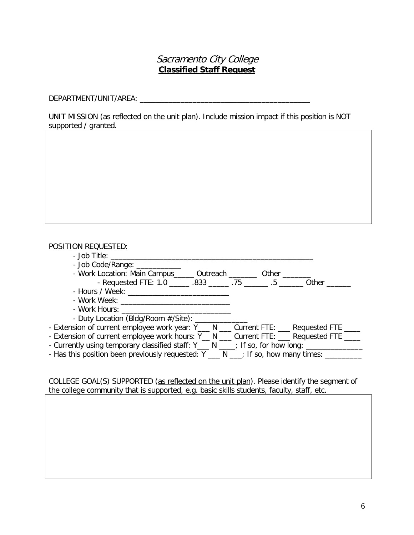## Sacramento City College **Classified Staff Request**

DEPARTMENT/UNIT/AREA: \_\_\_\_\_\_\_\_\_\_\_\_\_\_\_\_\_\_\_\_\_\_\_\_\_\_\_\_\_\_\_\_\_\_\_\_\_\_\_\_\_\_

UNIT MISSION (as reflected on the unit plan). Include mission impact if this position is NOT supported / granted.

## POSITION REQUESTED:

| - Job Code/Range: ________                                                                     |  |       |
|------------------------------------------------------------------------------------------------|--|-------|
| - Work Location: Main Campus______ Outreach ________ Other _______                             |  |       |
| - Requested FTE: 1.0 ______ .833 ______ .75 ______ .5 ______                                   |  | Other |
| - Hours / Week: _______________________________                                                |  |       |
|                                                                                                |  |       |
|                                                                                                |  |       |
| - Duty Location (Bldg/Room #/Site): _____________                                              |  |       |
| - Extension of current employee work year: Y___ N ___ Current FTE: ___ Requested FTE ___       |  |       |
| - Extension of current employee work hours: Y_ N __ Current FTE: __ Requested FTE ___          |  |       |
| - Currently using temporary classified staff: Y___ N ____; If so, for how long: ______________ |  |       |
| - Has this position been previously requested: Y ___ N ___; If so, how many times: ________    |  |       |
|                                                                                                |  |       |

COLLEGE GOAL(S) SUPPORTED (as reflected on the unit plan). Please identify the segment of the college community that is supported, e.g. basic skills students, faculty, staff, etc.